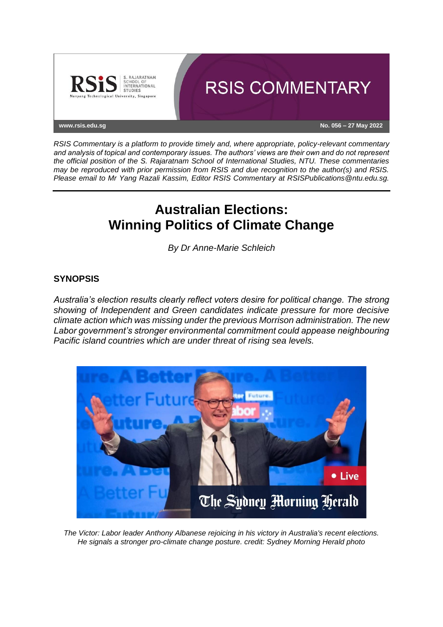

*RSIS Commentary is a platform to provide timely and, where appropriate, policy-relevant commentary and analysis of topical and contemporary issues. The authors' views are their own and do not represent the official position of the S. Rajaratnam School of International Studies, NTU. These commentaries may be reproduced with prior permission from RSIS and due recognition to the author(s) and RSIS. Please email to Mr Yang Razali Kassim, Editor RSIS Commentary at RSISPublications@ntu.edu.sg.*

# **Australian Elections: Winning Politics of Climate Change**

*By Dr Anne-Marie Schleich*

# **SYNOPSIS**

*Australia's election results clearly reflect voters desire for political change. The strong showing of Independent and Green candidates indicate pressure for more decisive climate action which was missing under the previous Morrison administration. The new Labor government's stronger environmental commitment could appease neighbouring Pacific island countries which are under threat of rising sea levels.*



*The Victor: Labor leader Anthony Albanese rejoicing in his victory in Australia's recent elections. He signals a stronger pro-climate change posture. credit: Sydney Morning Herald photo*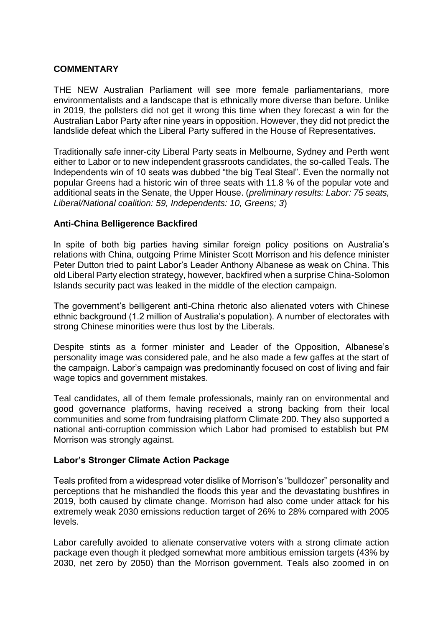# **COMMENTARY**

THE NEW Australian Parliament will see more female parliamentarians, more environmentalists and a landscape that is ethnically more diverse than before. Unlike in 2019, the pollsters did not get it wrong this time when they forecast a win for the Australian Labor Party after nine years in opposition. However, they did not predict the landslide defeat which the Liberal Party suffered in the House of Representatives.

Traditionally safe inner-city Liberal Party seats in Melbourne, Sydney and Perth went either to Labor or to new independent grassroots candidates, the so-called Teals. The Independents win of 10 seats was dubbed "the big Teal Steal". Even the normally not popular Greens had a historic win of three seats with 11.8 % of the popular vote and additional seats in the Senate, the Upper House. (*preliminary results: Labor: 75 seats, Liberal/National coalition: 59, Independents: 10, Greens; 3*)

#### **Anti-China Belligerence Backfired**

In spite of both big parties having similar foreign policy positions on Australia's relations with China, outgoing Prime Minister Scott Morrison and his defence minister Peter Dutton tried to paint Labor's Leader Anthony Albanese as weak on China. This old Liberal Party election strategy, however, backfired when a surprise China-Solomon Islands security pact was leaked in the middle of the election campaign.

The government's belligerent anti-China rhetoric also alienated voters with Chinese ethnic background (1.2 million of Australia's population). A number of electorates with strong Chinese minorities were thus lost by the Liberals.

Despite stints as a former minister and Leader of the Opposition, Albanese's personality image was considered pale, and he also made a few gaffes at the start of the campaign. Labor's campaign was predominantly focused on cost of living and fair wage topics and government mistakes.

Teal candidates, all of them female professionals, mainly ran on environmental and good governance platforms, having received a strong backing from their local communities and some from fundraising platform Climate 200. They also supported a national anti-corruption commission which Labor had promised to establish but PM Morrison was strongly against.

# **Labor's Stronger Climate Action Package**

Teals profited from a widespread voter dislike of Morrison's "bulldozer" personality and perceptions that he mishandled the floods this year and the devastating bushfires in 2019, both caused by climate change. Morrison had also come under attack for his extremely weak 2030 emissions reduction target of 26% to 28% compared with 2005 levels.

Labor carefully avoided to alienate conservative voters with a strong climate action package even though it pledged somewhat more ambitious emission targets (43% by 2030, net zero by 2050) than the Morrison government. Teals also zoomed in on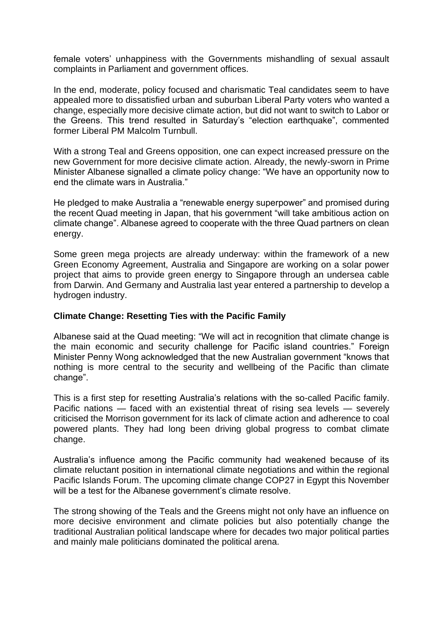female voters' unhappiness with the Governments mishandling of sexual assault complaints in Parliament and government offices.

In the end, moderate, policy focused and charismatic Teal candidates seem to have appealed more to dissatisfied urban and suburban Liberal Party voters who wanted a change, especially more decisive climate action, but did not want to switch to Labor or the Greens. This trend resulted in Saturday's "election earthquake", commented former Liberal PM Malcolm Turnbull.

With a strong Teal and Greens opposition, one can expect increased pressure on the new Government for more decisive climate action. Already, the newly-sworn in Prime Minister Albanese signalled a climate policy change: "We have an opportunity now to end the climate wars in Australia."

He pledged to make Australia a "renewable energy superpower" and promised during the recent Quad meeting in Japan, that his government "will take ambitious action on climate change". Albanese agreed to cooperate with the three Quad partners on clean energy.

Some green mega projects are already underway: within the framework of a new Green Economy Agreement, Australia and Singapore are working on a solar power project that aims to provide green energy to Singapore through an undersea cable from Darwin. And Germany and Australia last year entered a partnership to develop a hydrogen industry.

# **Climate Change: Resetting Ties with the Pacific Family**

Albanese said at the Quad meeting: "We will act in recognition that climate change is the main economic and security challenge for Pacific island countries." Foreign Minister Penny Wong acknowledged that the new Australian government "knows that nothing is more central to the security and wellbeing of the Pacific than climate change".

This is a first step for resetting Australia's relations with the so-called Pacific family. Pacific nations — faced with an existential threat of rising sea levels — severely criticised the Morrison government for its lack of climate action and adherence to coal powered plants. They had long been driving global progress to combat climate change.

Australia's influence among the Pacific community had weakened because of its climate reluctant position in international climate negotiations and within the regional Pacific Islands Forum. The upcoming climate change COP27 in Egypt this November will be a test for the Albanese government's climate resolve.

The strong showing of the Teals and the Greens might not only have an influence on more decisive environment and climate policies but also potentially change the traditional Australian political landscape where for decades two major political parties and mainly male politicians dominated the political arena.